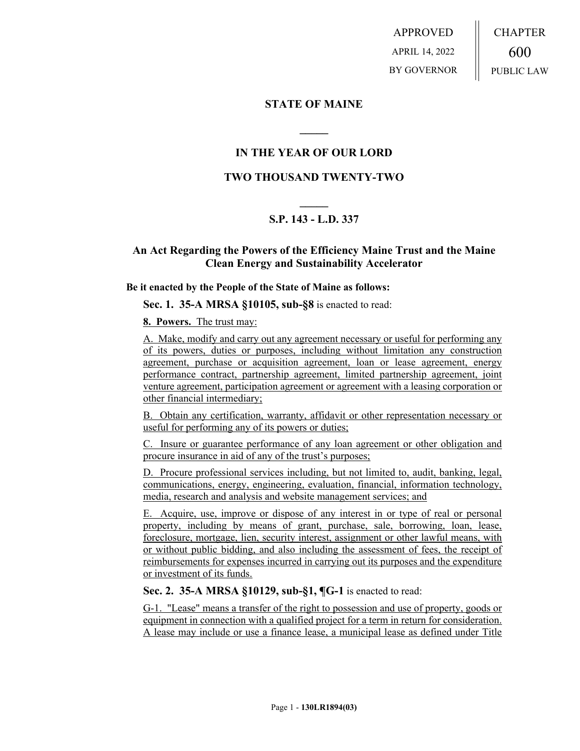APPROVED APRIL 14, 2022 BY GOVERNOR CHAPTER 600 PUBLIC LAW

## **STATE OF MAINE**

# **IN THE YEAR OF OUR LORD**

**\_\_\_\_\_**

## **TWO THOUSAND TWENTY-TWO**

# **\_\_\_\_\_ S.P. 143 - L.D. 337**

# **An Act Regarding the Powers of the Efficiency Maine Trust and the Maine Clean Energy and Sustainability Accelerator**

#### **Be it enacted by the People of the State of Maine as follows:**

**Sec. 1. 35-A MRSA §10105, sub-§8** is enacted to read:

**8. Powers.** The trust may:

A. Make, modify and carry out any agreement necessary or useful for performing any of its powers, duties or purposes, including without limitation any construction agreement, purchase or acquisition agreement, loan or lease agreement, energy performance contract, partnership agreement, limited partnership agreement, joint venture agreement, participation agreement or agreement with a leasing corporation or other financial intermediary;

B. Obtain any certification, warranty, affidavit or other representation necessary or useful for performing any of its powers or duties;

C. Insure or guarantee performance of any loan agreement or other obligation and procure insurance in aid of any of the trust's purposes;

D. Procure professional services including, but not limited to, audit, banking, legal, communications, energy, engineering, evaluation, financial, information technology, media, research and analysis and website management services; and

E. Acquire, use, improve or dispose of any interest in or type of real or personal property, including by means of grant, purchase, sale, borrowing, loan, lease, foreclosure, mortgage, lien, security interest, assignment or other lawful means, with or without public bidding, and also including the assessment of fees, the receipt of reimbursements for expenses incurred in carrying out its purposes and the expenditure or investment of its funds.

### **Sec. 2. 35-A MRSA §10129, sub-§1, ¶G-1** is enacted to read:

G-1. "Lease" means a transfer of the right to possession and use of property, goods or equipment in connection with a qualified project for a term in return for consideration. A lease may include or use a finance lease, a municipal lease as defined under Title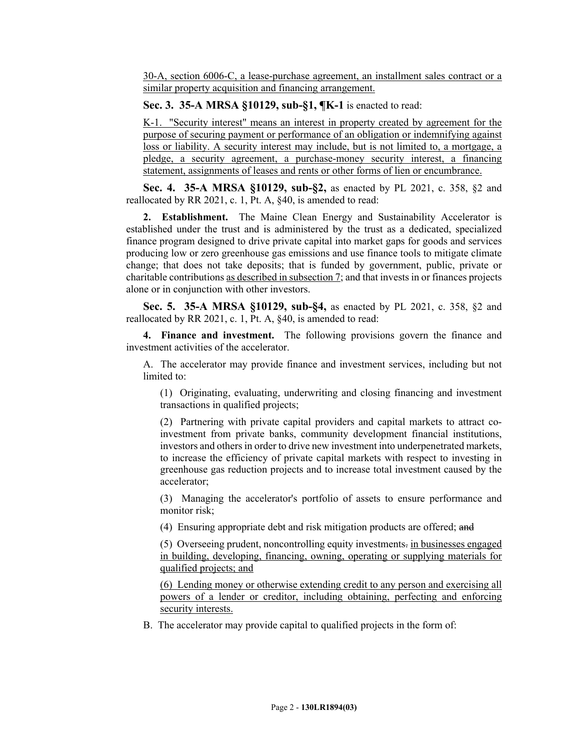30-A, section 6006-C, a lease-purchase agreement, an installment sales contract or a similar property acquisition and financing arrangement.

#### **Sec. 3. 35-A MRSA §10129, sub-§1, ¶K-1** is enacted to read:

K-1. "Security interest" means an interest in property created by agreement for the purpose of securing payment or performance of an obligation or indemnifying against loss or liability. A security interest may include, but is not limited to, a mortgage, a pledge, a security agreement, a purchase-money security interest, a financing statement, assignments of leases and rents or other forms of lien or encumbrance.

**Sec. 4. 35-A MRSA §10129, sub-§2,** as enacted by PL 2021, c. 358, §2 and reallocated by RR 2021, c. 1, Pt. A, §40, is amended to read:

**2. Establishment.** The Maine Clean Energy and Sustainability Accelerator is established under the trust and is administered by the trust as a dedicated, specialized finance program designed to drive private capital into market gaps for goods and services producing low or zero greenhouse gas emissions and use finance tools to mitigate climate change; that does not take deposits; that is funded by government, public, private or charitable contributions as described in subsection 7; and that invests in or finances projects alone or in conjunction with other investors.

**Sec. 5. 35-A MRSA §10129, sub-§4,** as enacted by PL 2021, c. 358, §2 and reallocated by RR 2021, c. 1, Pt. A, §40, is amended to read:

**4. Finance and investment.** The following provisions govern the finance and investment activities of the accelerator.

A. The accelerator may provide finance and investment services, including but not limited to:

(1) Originating, evaluating, underwriting and closing financing and investment transactions in qualified projects;

(2) Partnering with private capital providers and capital markets to attract coinvestment from private banks, community development financial institutions, investors and others in order to drive new investment into underpenetrated markets, to increase the efficiency of private capital markets with respect to investing in greenhouse gas reduction projects and to increase total investment caused by the accelerator;

(3) Managing the accelerator's portfolio of assets to ensure performance and monitor risk;

(4) Ensuring appropriate debt and risk mitigation products are offered; and

(5) Overseeing prudent, noncontrolling equity investments. in businesses engaged in building, developing, financing, owning, operating or supplying materials for qualified projects; and

(6) Lending money or otherwise extending credit to any person and exercising all powers of a lender or creditor, including obtaining, perfecting and enforcing security interests.

B. The accelerator may provide capital to qualified projects in the form of: